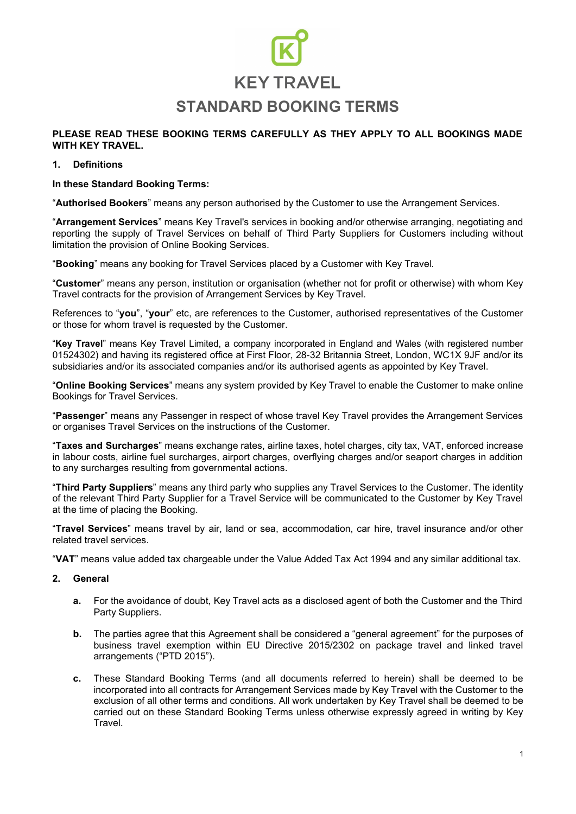#### **PLEASE READ THESE BOOKING TERMS CAREFULLY AS THEY APPLY TO ALL BOOKINGS MADE WITH KEY TRAVEL.**

#### **1. Definitions**

#### **In these Standard Booking Terms:**

"**Authorised Bookers**" means any person authorised by the Customer to use the Arrangement Services.

"**Arrangement Services**" means Key Travel's services in booking and/or otherwise arranging, negotiating and reporting the supply of Travel Services on behalf of Third Party Suppliers for Customers including without limitation the provision of Online Booking Services.

"**Booking**" means any booking for Travel Services placed by a Customer with Key Travel.

"**Customer**" means any person, institution or organisation (whether not for profit or otherwise) with whom Key Travel contracts for the provision of Arrangement Services by Key Travel.

References to "**you**", "**your**" etc, are references to the Customer, authorised representatives of the Customer or those for whom travel is requested by the Customer.

"**Key Travel**" means Key Travel Limited, a company incorporated in England and Wales (with registered number 01524302) and having its registered office at First Floor, 28-32 Britannia Street, London, WC1X 9JF and/or its subsidiaries and/or its associated companies and/or its authorised agents as appointed by Key Travel.

"**Online Booking Services**" means any system provided by Key Travel to enable the Customer to make online Bookings for Travel Services.

"**Passenger**" means any Passenger in respect of whose travel Key Travel provides the Arrangement Services or organises Travel Services on the instructions of the Customer.

"**Taxes and Surcharges**" means exchange rates, airline taxes, hotel charges, city tax, VAT, enforced increase in labour costs, airline fuel surcharges, airport charges, overflying charges and/or seaport charges in addition to any surcharges resulting from governmental actions.

"**Third Party Suppliers**" means any third party who supplies any Travel Services to the Customer. The identity of the relevant Third Party Supplier for a Travel Service will be communicated to the Customer by Key Travel at the time of placing the Booking.

"**Travel Services**" means travel by air, land or sea, accommodation, car hire, travel insurance and/or other related travel services.

"**VAT**" means value added tax chargeable under the Value Added Tax Act 1994 and any similar additional tax.

#### **2. General**

- **a.** For the avoidance of doubt, Key Travel acts as a disclosed agent of both the Customer and the Third Party Suppliers.
- **b.** The parties agree that this Agreement shall be considered a "general agreement" for the purposes of business travel exemption within EU Directive 2015/2302 on package travel and linked travel arrangements ("PTD 2015").
- **c.** These Standard Booking Terms (and all documents referred to herein) shall be deemed to be incorporated into all contracts for Arrangement Services made by Key Travel with the Customer to the exclusion of all other terms and conditions. All work undertaken by Key Travel shall be deemed to be carried out on these Standard Booking Terms unless otherwise expressly agreed in writing by Key Travel.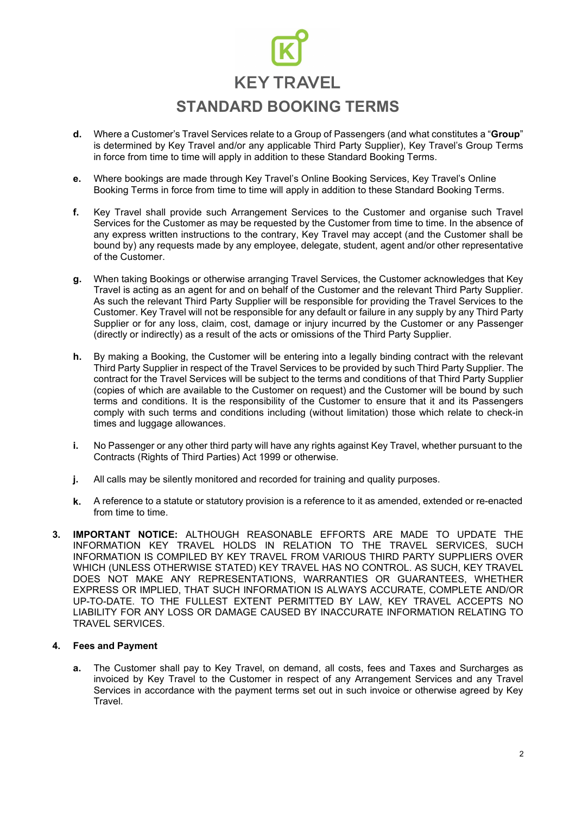- Where a Customer's Travel Services relate to a Group of Passengers (and what constitutes a "**Group**" **d.** is determined by Key Travel and/or any applicable Third Party Supplier), Key Travel's Group Terms in force from time to time will apply in addition to these Standard Booking Terms.
- **e.** Where bookings are made through Key Travel's Online Booking Services, Key Travel's Online Booking Terms in force from time to time will apply in addition to these Standard Booking Terms.
- **f.** Key Travel shall provide such Arrangement Services to the Customer and organise such Travel Services for the Customer as may be requested by the Customer from time to time. In the absence of any express written instructions to the contrary, Key Travel may accept (and the Customer shall be bound by) any requests made by any employee, delegate, student, agent and/or other representative of the Customer.
- **g.** When taking Bookings or otherwise arranging Travel Services, the Customer acknowledges that Key Travel is acting as an agent for and on behalf of the Customer and the relevant Third Party Supplier. As such the relevant Third Party Supplier will be responsible for providing the Travel Services to the Customer. Key Travel will not be responsible for any default or failure in any supply by any Third Party Supplier or for any loss, claim, cost, damage or injury incurred by the Customer or any Passenger (directly or indirectly) as a result of the acts or omissions of the Third Party Supplier.
- **h.** By making a Booking, the Customer will be entering into a legally binding contract with the relevant Third Party Supplier in respect of the Travel Services to be provided by such Third Party Supplier. The contract for the Travel Services will be subject to the terms and conditions of that Third Party Supplier (copies of which are available to the Customer on request) and the Customer will be bound by such terms and conditions. It is the responsibility of the Customer to ensure that it and its Passengers comply with such terms and conditions including (without limitation) those which relate to check-in times and luggage allowances.
- **i.** No Passenger or any other third party will have any rights against Key Travel, whether pursuant to the Contracts (Rights of Third Parties) Act 1999 or otherwise.
- **j.** All calls may be silently monitored and recorded for training and quality purposes.
- **k.** A reference to a statute or statutory provision is a reference to it as amended, extended or re-enacted from time to time.
- **3. IMPORTANT NOTICE:** ALTHOUGH REASONABLE EFFORTS ARE MADE TO UPDATE THE INFORMATION KEY TRAVEL HOLDS IN RELATION TO THE TRAVEL SERVICES, SUCH INFORMATION IS COMPILED BY KEY TRAVEL FROM VARIOUS THIRD PARTY SUPPLIERS OVER WHICH (UNLESS OTHERWISE STATED) KEY TRAVEL HAS NO CONTROL. AS SUCH, KEY TRAVEL DOES NOT MAKE ANY REPRESENTATIONS, WARRANTIES OR GUARANTEES, WHETHER EXPRESS OR IMPLIED, THAT SUCH INFORMATION IS ALWAYS ACCURATE, COMPLETE AND/OR UP-TO-DATE. TO THE FULLEST EXTENT PERMITTED BY LAW, KEY TRAVEL ACCEPTS NO LIABILITY FOR ANY LOSS OR DAMAGE CAUSED BY INACCURATE INFORMATION RELATING TO TRAVEL SERVICES.

#### **4. Fees and Payment**

**a.** The Customer shall pay to Key Travel, on demand, all costs, fees and Taxes and Surcharges as invoiced by Key Travel to the Customer in respect of any Arrangement Services and any Travel Services in accordance with the payment terms set out in such invoice or otherwise agreed by Key **Travel**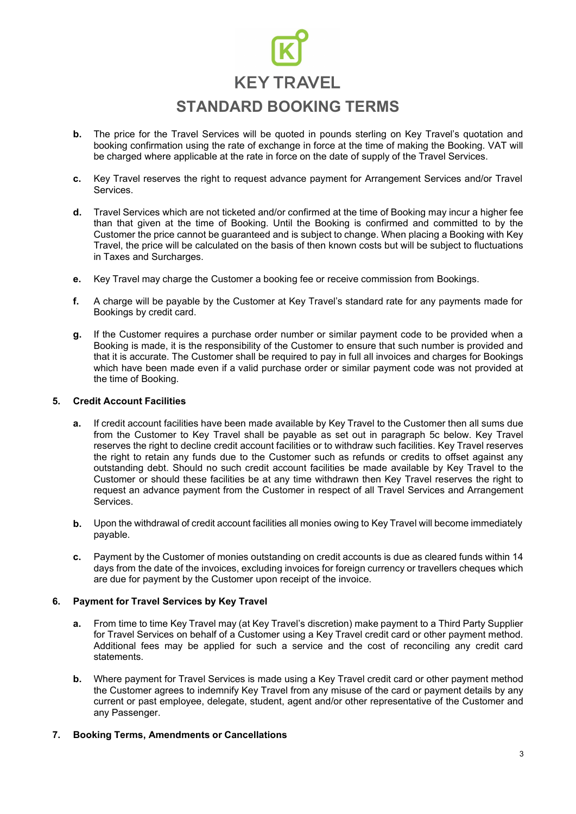- **b.** The price for the Travel Services will be quoted in pounds sterling on Key Travel's quotation and booking confirmation using the rate of exchange in force at the time of making the Booking. VAT will be charged where applicable at the rate in force on the date of supply of the Travel Services.
- **c.** Key Travel reserves the right to request advance payment for Arrangement Services and/or Travel Services.
- **d.** Travel Services which are not ticketed and/or confirmed at the time of Booking may incur a higher fee than that given at the time of Booking. Until the Booking is confirmed and committed to by the Customer the price cannot be guaranteed and is subject to change. When placing a Booking with Key Travel, the price will be calculated on the basis of then known costs but will be subject to fluctuations in Taxes and Surcharges.
- **e.** Key Travel may charge the Customer a booking fee or receive commission from Bookings.
- **f.** A charge will be payable by the Customer at Key Travel's standard rate for any payments made for Bookings by credit card.
- **g.** If the Customer requires a purchase order number or similar payment code to be provided when a Booking is made, it is the responsibility of the Customer to ensure that such number is provided and that it is accurate. The Customer shall be required to pay in full all invoices and charges for Bookings which have been made even if a valid purchase order or similar payment code was not provided at the time of Booking.

#### **5. Credit Account Facilities**

- **a.** If credit account facilities have been made available by Key Travel to the Customer then all sums due from the Customer to Key Travel shall be payable as set out in paragraph 5c below. Key Travel reserves the right to decline credit account facilities or to withdraw such facilities. Key Travel reserves the right to retain any funds due to the Customer such as refunds or credits to offset against any outstanding debt. Should no such credit account facilities be made available by Key Travel to the Customer or should these facilities be at any time withdrawn then Key Travel reserves the right to request an advance payment from the Customer in respect of all Travel Services and Arrangement Services.
- **b.** Upon the withdrawal of credit account facilities all monies owing to Key Travel will become immediately payable.
- **c.** Payment by the Customer of monies outstanding on credit accounts is due as cleared funds within 14 days from the date of the invoices, excluding invoices for foreign currency or travellers cheques which are due for payment by the Customer upon receipt of the invoice.

#### **6. Payment for Travel Services by Key Travel**

- **a.** From time to time Key Travel may (at Key Travel's discretion) make payment to a Third Party Supplier for Travel Services on behalf of a Customer using a Key Travel credit card or other payment method. Additional fees may be applied for such a service and the cost of reconciling any credit card statements.
- **b.** Where payment for Travel Services is made using a Key Travel credit card or other payment method the Customer agrees to indemnify Key Travel from any misuse of the card or payment details by any current or past employee, delegate, student, agent and/or other representative of the Customer and any Passenger.

#### **7. Booking Terms, Amendments or Cancellations**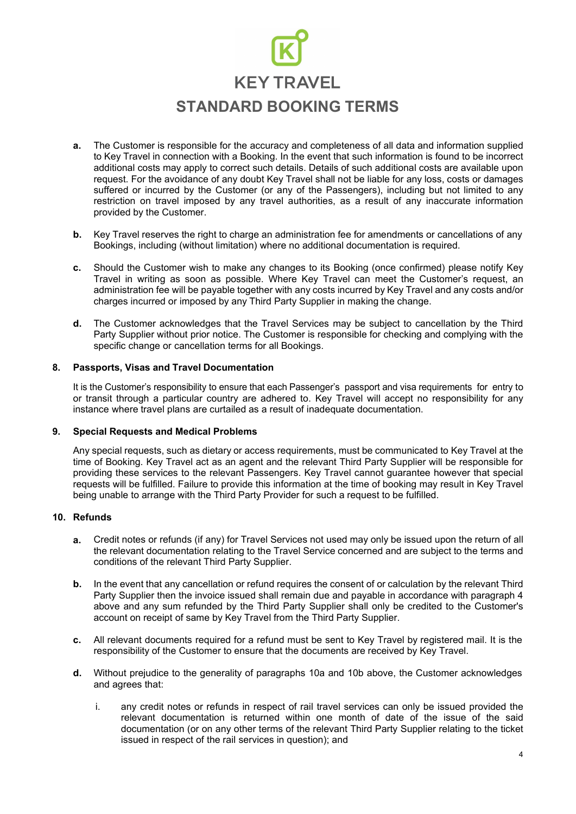- **a.** The Customer is responsible for the accuracy and completeness of all data and information supplied to Key Travel in connection with a Booking. In the event that such information is found to be incorrect additional costs may apply to correct such details. Details of such additional costs are available upon request. For the avoidance of any doubt Key Travel shall not be liable for any loss, costs or damages suffered or incurred by the Customer (or any of the Passengers), including but not limited to any restriction on travel imposed by any travel authorities, as a result of any inaccurate information provided by the Customer.
- **b.** Key Travel reserves the right to charge an administration fee for amendments or cancellations of any Bookings, including (without limitation) where no additional documentation is required.
- **c.** Should the Customer wish to make any changes to its Booking (once confirmed) please notify Key Travel in writing as soon as possible. Where Key Travel can meet the Customer's request, an administration fee will be payable together with any costs incurred by Key Travel and any costs and/or charges incurred or imposed by any Third Party Supplier in making the change.
- **d.** The Customer acknowledges that the Travel Services may be subject to cancellation by the Third Party Supplier without prior notice. The Customer is responsible for checking and complying with the specific change or cancellation terms for all Bookings.

#### **8. Passports, Visas and Travel Documentation**

It is the Customer's responsibility to ensure that each Passenger's passport and visa requirements for entry to or transit through a particular country are adhered to. Key Travel will accept no responsibility for any instance where travel plans are curtailed as a result of inadequate documentation.

#### **9. Special Requests and Medical Problems**

Any special requests, such as dietary or access requirements, must be communicated to Key Travel at the time of Booking. Key Travel act as an agent and the relevant Third Party Supplier will be responsible for providing these services to the relevant Passengers. Key Travel cannot guarantee however that special requests will be fulfilled. Failure to provide this information at the time of booking may result in Key Travel being unable to arrange with the Third Party Provider for such a request to be fulfilled.

#### **10. Refunds**

- **a.** Credit notes or refunds (if any) for Travel Services not used may only be issued upon the return of all the relevant documentation relating to the Travel Service concerned and are subject to the terms and conditions of the relevant Third Party Supplier.
- **b.** In the event that any cancellation or refund requires the consent of or calculation by the relevant Third Party Supplier then the invoice issued shall remain due and payable in accordance with paragraph 4 above and any sum refunded by the Third Party Supplier shall only be credited to the Customer's account on receipt of same by Key Travel from the Third Party Supplier.
- **c.** All relevant documents required for a refund must be sent to Key Travel by registered mail. It is the responsibility of the Customer to ensure that the documents are received by Key Travel.
- **d.** Without prejudice to the generality of paragraphs 10a and 10b above, the Customer acknowledges and agrees that:
	- i. any credit notes or refunds in respect of rail travel services can only be issued provided the relevant documentation is returned within one month of date of the issue of the said documentation (or on any other terms of the relevant Third Party Supplier relating to the ticket issued in respect of the rail services in question); and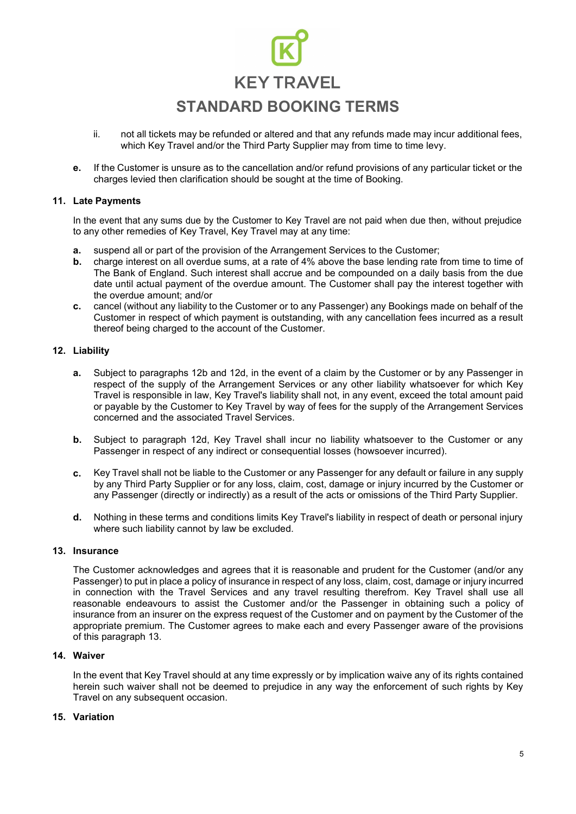- not all tickets may be refunded or altered and that any refunds made may incur additional fees, which Key Travel and/or the Third Party Supplier may from time to time levy. ii.
- **e.** If the Customer is unsure as to the cancellation and/or refund provisions of any particular ticket or the charges levied then clarification should be sought at the time of Booking.

#### **11. Late Payments**

In the event that any sums due by the Customer to Key Travel are not paid when due then, without prejudice to any other remedies of Key Travel, Key Travel may at any time:

- **a.** suspend all or part of the provision of the Arrangement Services to the Customer;
- **b.** charge interest on all overdue sums, at a rate of 4% above the base lending rate from time to time of The Bank of England. Such interest shall accrue and be compounded on a daily basis from the due date until actual payment of the overdue amount. The Customer shall pay the interest together with the overdue amount; and/or
- cancel (without any liability to the Customer or to any Passenger) any Bookings made on behalf of the Customer in respect of which payment is outstanding, with any cancellation fees incurred as a result thereof being charged to the account of the Customer. **c.**

#### **12. Liability**

- **a.** Subject to paragraphs 12b and 12d, in the event of a claim by the Customer or by any Passenger in respect of the supply of the Arrangement Services or any other liability whatsoever for which Key Travel is responsible in law, Key Travel's liability shall not, in any event, exceed the total amount paid or payable by the Customer to Key Travel by way of fees for the supply of the Arrangement Services concerned and the associated Travel Services.
- **b.** Subject to paragraph 12d, Key Travel shall incur no liability whatsoever to the Customer or any Passenger in respect of any indirect or consequential losses (howsoever incurred).
- **c.** Key Travel shall not be liable to the Customer or any Passenger for any default or failure in any supply by any Third Party Supplier or for any loss, claim, cost, damage or injury incurred by the Customer or any Passenger (directly or indirectly) as a result of the acts or omissions of the Third Party Supplier.
- **d.** Nothing in these terms and conditions limits Key Travel's liability in respect of death or personal injury where such liability cannot by law be excluded.

#### **13. Insurance**

The Customer acknowledges and agrees that it is reasonable and prudent for the Customer (and/or any Passenger) to put in place a policy of insurance in respect of any loss, claim, cost, damage or injury incurred in connection with the Travel Services and any travel resulting therefrom. Key Travel shall use all reasonable endeavours to assist the Customer and/or the Passenger in obtaining such a policy of insurance from an insurer on the express request of the Customer and on payment by the Customer of the appropriate premium. The Customer agrees to make each and every Passenger aware of the provisions of this paragraph 13.

#### **Waiver 14.**

In the event that Key Travel should at any time expressly or by implication waive any of its rights contained herein such waiver shall not be deemed to prejudice in any way the enforcement of such rights by Key Travel on any subsequent occasion.

#### **Variation 15.**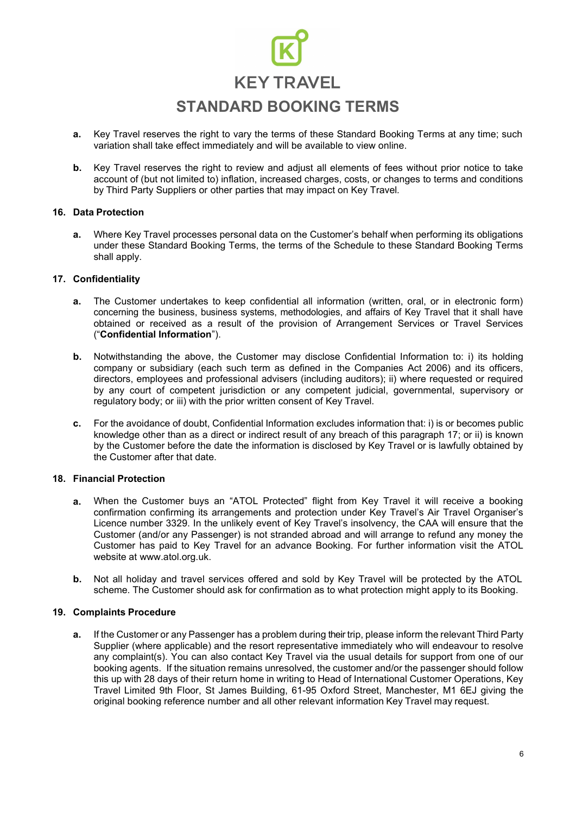- **a.** Key Travel reserves the right to vary the terms of these Standard Booking Terms at any time; such variation shall take effect immediately and will be available to view online.
- **b.** Key Travel reserves the right to review and adjust all elements of fees without prior notice to take account of (but not limited to) inflation, increased charges, costs, or changes to terms and conditions by Third Party Suppliers or other parties that may impact on Key Travel*.*

#### **16. Data Protection**

**a.** Where Key Travel processes personal data on the Customer's behalf when performing its obligations under these Standard Booking Terms, the terms of the Schedule to these Standard Booking Terms shall apply.

#### **17. Confidentiality**

- **a.** The Customer undertakes to keep confidential all information (written, oral, or in electronic form) concerning the business, business systems, methodologies, and affairs of Key Travel that it shall have obtained or received as a result of the provision of Arrangement Services or Travel Services ("**Confidential Information**").
- **b.** Notwithstanding the above, the Customer may disclose Confidential Information to: i) its holding company or subsidiary (each such term as defined in the Companies Act 2006) and its officers, directors, employees and professional advisers (including auditors); ii) where requested or required by any court of competent jurisdiction or any competent judicial, governmental, supervisory or regulatory body; or iii) with the prior written consent of Key Travel.
- **c.** For the avoidance of doubt, Confidential Information excludes information that: i) is or becomes public knowledge other than as a direct or indirect result of any breach of this paragraph 17; or ii) is known by the Customer before the date the information is disclosed by Key Travel or is lawfully obtained by the Customer after that date.

#### **18. Financial Protection**

- **a.** When the Customer buys an "ATOL Protected" flight from Key Travel it will receive a booking confirmation confirming its arrangements and protection under Key Travel's Air Travel Organiser's Licence number 3329. In the unlikely event of Key Travel's insolvency, the CAA will ensure that the Customer (and/or any Passenger) is not stranded abroad and will arrange to refund any money the Customer has paid to Key Travel for an advance Booking. For further information visit the ATOL website at [www.atol.org.uk.](http://www.atol.org.uk/)
- **b.** Not all holiday and travel services offered and sold by Key Travel will be protected by the ATOL scheme. The Customer should ask for confirmation as to what protection might apply to its Booking.

#### **19. Complaints Procedure**

**a.** If the Customer or any Passenger has a problem during their trip, please inform the relevant Third Party Supplier (where applicable) and the resort representative immediately who will endeavour to resolve any complaint(s). You can also contact Key Travel via the usual details for support from one of our booking agents. If the situation remains unresolved, the customer and/or the passenger should follow this up with 28 days of their return home in writing to Head of International Customer Operations, Key Travel Limited 9th Floor, St James Building, 61-95 Oxford Street, Manchester, M1 6EJ giving the original booking reference number and all other relevant information Key Travel may request.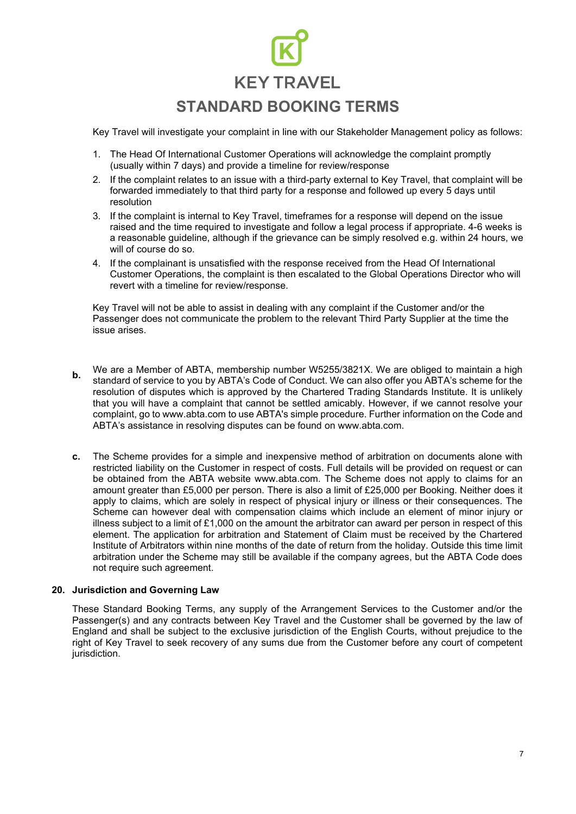Key Travel will investigate your complaint in line with our Stakeholder Management policy as follows:

- 1. The Head Of International Customer Operations will acknowledge the complaint promptly (usually within 7 days) and provide a timeline for review/response
- 2. If the complaint relates to an issue with a third-party external to Key Travel, that complaint will be forwarded immediately to that third party for a response and followed up every 5 days until resolution
- 3. If the complaint is internal to Key Travel, timeframes for a response will depend on the issue raised and the time required to investigate and follow a legal process if appropriate. 4-6 weeks is a reasonable guideline, although if the grievance can be simply resolved e.g. within 24 hours, we will of course do so.
- 4. If the complainant is unsatisfied with the response received from the Head Of International Customer Operations, the complaint is then escalated to the Global Operations Director who will revert with a timeline for review/response.

Key Travel will not be able to assist in dealing with any complaint if the Customer and/or the Passenger does not communicate the problem to the relevant Third Party Supplier at the time the issue arises.

- We are a Member of ABTA, membership number W5255/3821X. We are obliged to maintain a high standard of service to you by ABTA's Code of Conduct. We can also offer you ABTA's scheme for the resolution of disputes which is approved by the Chartered Trading Standards Institute. It is unlikely that you will have a complaint that cannot be settled amicably. However, if we cannot resolve your complaint, go to [www.abta.com](http://www.abta.com/) to use ABTA's simple procedure. Further information on the Code and ABTA's assistance in resolving disputes can be found on [www.abta.com.](http://www.abta.com/) **b.**
- **c.** The Scheme provides for a simple and inexpensive method of arbitration on documents alone with restricted liability on the Customer in respect of costs. Full details will be provided on request or can be obtained from the ABTA website [www.abta.com. T](http://www.abta.com/)he Scheme does not apply to claims for an amount greater than £5,000 per person. There is also a limit of £25,000 per Booking. Neither does it apply to claims, which are solely in respect of physical injury or illness or their consequences. The Scheme can however deal with compensation claims which include an element of minor injury or illness subject to a limit of £1,000 on the amount the arbitrator can award per person in respect of this element. The application for arbitration and Statement of Claim must be received by the Chartered Institute of Arbitrators within nine months of the date of return from the holiday. Outside this time limit arbitration under the Scheme may still be available if the company agrees, but the ABTA Code does not require such agreement.

#### **20. Jurisdiction and Governing Law**

These Standard Booking Terms, any supply of the Arrangement Services to the Customer and/or the Passenger(s) and any contracts between Key Travel and the Customer shall be governed by the law of England and shall be subject to the exclusive jurisdiction of the English Courts, without prejudice to the right of Key Travel to seek recovery of any sums due from the Customer before any court of competent jurisdiction.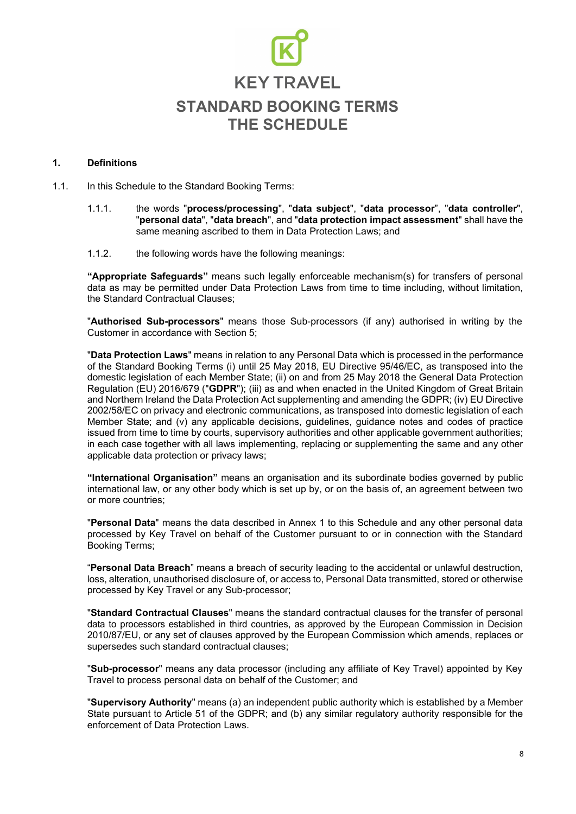#### **1. Definitions**

1.1. In this Schedule to the Standard Booking Terms:

- 1.1.1. the words "**process/processing**", "**data subject**", "**data processor**", "**data controller**", "**personal data**", "**data breach**", and "**data protection impact assessment**" shall have the same meaning ascribed to them in Data Protection Laws; and
- 1.1.2. the following words have the following meanings:

**"Appropriate Safeguards"** means such legally enforceable mechanism(s) for transfers of personal data as may be permitted under Data Protection Laws from time to time including, without limitation, the Standard Contractual Clauses;

"**Authorised Sub-processors**" means those Sub-processors (if any) authorised in writing by the Customer in accordance with Section 5;

"**Data Protection Laws**" means in relation to any Personal Data which is processed in the performance of the Standard Booking Terms (i) until 25 May 2018, EU Directive 95/46/EC, as transposed into the domestic legislation of each Member State; (ii) on and from 25 May 2018 the General Data Protection Regulation (EU) 2016/679 ("**GDPR**"); (iii) as and when enacted in the United Kingdom of Great Britain and Northern Ireland the Data Protection Act supplementing and amending the GDPR; (iv) EU Directive 2002/58/EC on privacy and electronic communications, as transposed into domestic legislation of each Member State; and (v) any applicable decisions, guidelines, guidance notes and codes of practice issued from time to time by courts, supervisory authorities and other applicable government authorities; in each case together with all laws implementing, replacing or supplementing the same and any other applicable data protection or privacy laws;

**"International Organisation"** means an organisation and its subordinate bodies governed by public international law, or any other body which is set up by, or on the basis of, an agreement between two or more countries;

"**Personal Data**" means the data described in Annex 1 to this Schedule and any other personal data processed by Key Travel on behalf of the Customer pursuant to or in connection with the Standard Booking Terms;

"**Personal Data Breach**" means a breach of security leading to the accidental or unlawful destruction, loss, alteration, unauthorised disclosure of, or access to, Personal Data transmitted, stored or otherwise processed by Key Travel or any Sub-processor;

"**Standard Contractual Clauses**" means the standard contractual clauses for the transfer of personal data to processors established in third countries, as approved by the European Commission in Decision 2010/87/EU, or any set of clauses approved by the European Commission which amends, replaces or supersedes such standard contractual clauses;

"**Sub-processor**" means any data processor (including any affiliate of Key Travel) appointed by Key Travel to process personal data on behalf of the Customer; and

"**Supervisory Authority**" means (a) an independent public authority which is established by a Member State pursuant to Article 51 of the GDPR; and (b) any similar regulatory authority responsible for the enforcement of Data Protection Laws.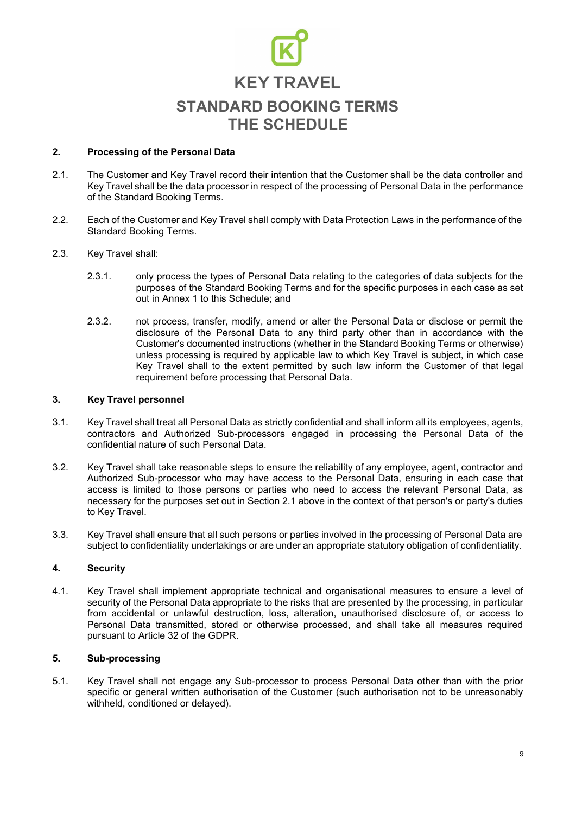#### **2. Processing of the Personal Data**

- 2.1. The Customer and Key Travel record their intention that the Customer shall be the data controller and Key Travel shall be the data processor in respect of the processing of Personal Data in the performance of the Standard Booking Terms.
- 2.2. Each of the Customer and Key Travel shall comply with Data Protection Laws in the performance of the Standard Booking Terms.
- 2.3. Key Travel shall:
	- 2.3.1. only process the types of Personal Data relating to the categories of data subjects for the purposes of the Standard Booking Terms and for the specific purposes in each case as set out in Annex 1 to this Schedule; and
	- 2.3.2. not process, transfer, modify, amend or alter the Personal Data or disclose or permit the disclosure of the Personal Data to any third party other than in accordance with the Customer's documented instructions (whether in the Standard Booking Terms or otherwise) unless processing is required by applicable law to which Key Travel is subject, in which case Key Travel shall to the extent permitted by such law inform the Customer of that legal requirement before processing that Personal Data.

#### **3. Key Travel personnel**

- 3.1. Key Travel shall treat all Personal Data as strictly confidential and shall inform all its employees, agents, contractors and Authorized Sub-processors engaged in processing the Personal Data of the confidential nature of such Personal Data.
- 3.2. Key Travel shall take reasonable steps to ensure the reliability of any employee, agent, contractor and Authorized Sub-processor who may have access to the Personal Data, ensuring in each case that access is limited to those persons or parties who need to access the relevant Personal Data, as necessary for the purposes set out in Section 2.1 above in the context of that person's or party's duties to Key Travel.
- 3.3. Key Travel shall ensure that all such persons or parties involved in the processing of Personal Data are subject to confidentiality undertakings or are under an appropriate statutory obligation of confidentiality.

#### **4. Security**

4.1. Key Travel shall implement appropriate technical and organisational measures to ensure a level of security of the Personal Data appropriate to the risks that are presented by the processing, in particular from accidental or unlawful destruction, loss, alteration, unauthorised disclosure of, or access to Personal Data transmitted, stored or otherwise processed, and shall take all measures required pursuant to Article 32 of the GDPR.

#### **5. Sub-processing**

5.1. Key Travel shall not engage any Sub-processor to process Personal Data other than with the prior specific or general written authorisation of the Customer (such authorisation not to be unreasonably withheld, conditioned or delayed).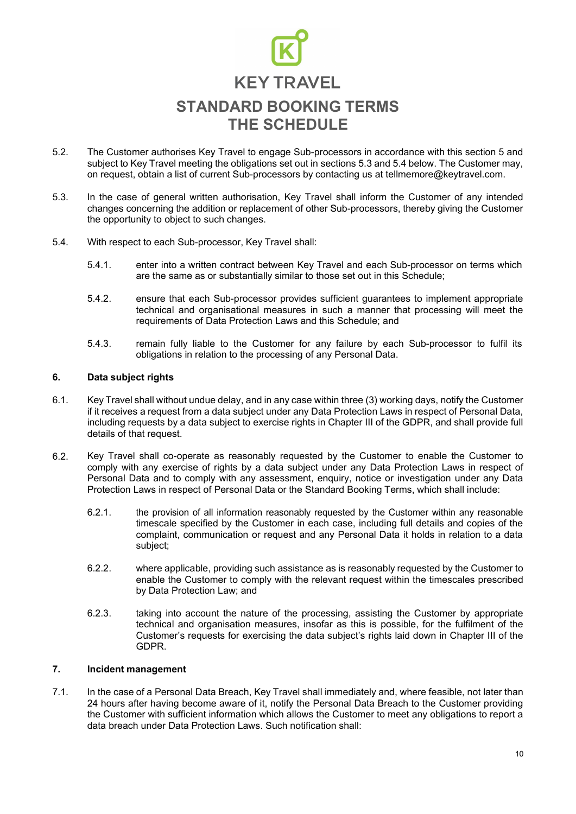- The Customer authorises Key Travel to engage Sub-processors in accordance with this section 5 and subject to Key Travel meeting the obligations set out in sections 5.3 and 5.4 below. The Customer may, on request, obtain a list of current Sub-processors by contacting us at [tellmemore@keytravel.com.](mailto:tellmemore@keytravel.com) 5.2.
- 5.3. In the case of general written authorisation, Key Travel shall inform the Customer of any intended changes concerning the addition or replacement of other Sub-processors, thereby giving the Customer the opportunity to object to such changes.
- 5.4. With respect to each Sub-processor, Key Travel shall:
	- 5.4.1. enter into a written contract between Key Travel and each Sub-processor on terms which are the same as or substantially similar to those set out in this Schedule;
	- 5.4.2. ensure that each Sub-processor provides sufficient guarantees to implement appropriate technical and organisational measures in such a manner that processing will meet the requirements of Data Protection Laws and this Schedule; and
	- 5.4.3. remain fully liable to the Customer for any failure by each Sub-processor to fulfil its obligations in relation to the processing of any Personal Data.

#### **6. Data subject rights**

- 6.1. Key Travel shall without undue delay, and in any case within three (3) working days, notify the Customer if it receives a request from a data subject under any Data Protection Laws in respect of Personal Data, including requests by a data subject to exercise rights in Chapter III of the GDPR, and shall provide full details of that request.
- 6.2. Key Travel shall co-operate as reasonably requested by the Customer to enable the Customer to comply with any exercise of rights by a data subject under any Data Protection Laws in respect of Personal Data and to comply with any assessment, enquiry, notice or investigation under any Data Protection Laws in respect of Personal Data or the Standard Booking Terms, which shall include:
	- 6.2.1. the provision of all information reasonably requested by the Customer within any reasonable timescale specified by the Customer in each case, including full details and copies of the complaint, communication or request and any Personal Data it holds in relation to a data subject;
	- 6.2.2. where applicable, providing such assistance as is reasonably requested by the Customer to enable the Customer to comply with the relevant request within the timescales prescribed by Data Protection Law; and
	- 6.2.3. taking into account the nature of the processing, assisting the Customer by appropriate technical and organisation measures, insofar as this is possible, for the fulfilment of the Customer's requests for exercising the data subject's rights laid down in Chapter III of the GDPR.

#### **7. Incident management**

7.1. In the case of a Personal Data Breach, Key Travel shall immediately and, where feasible, not later than 24 hours after having become aware of it, notify the Personal Data Breach to the Customer providing the Customer with sufficient information which allows the Customer to meet any obligations to report a data breach under Data Protection Laws. Such notification shall: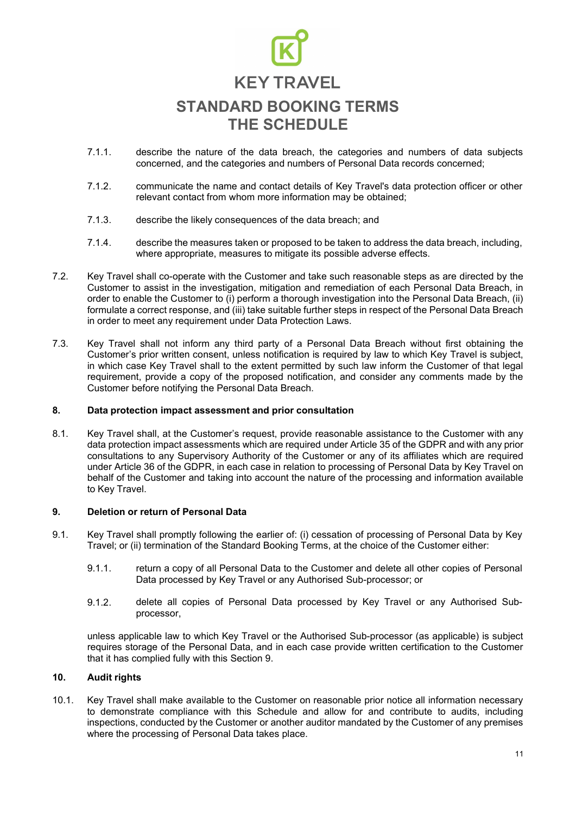- describe the nature of the data breach, the categories and numbers of data subjects concerned, and the categories and numbers of Personal Data records concerned; 7.1.1.
- 7.1.2. communicate the name and contact details of Key Travel's data protection officer or other relevant contact from whom more information may be obtained;
- 7.1.3. describe the likely consequences of the data breach; and
- 7.1.4. describe the measures taken or proposed to be taken to address the data breach, including, where appropriate, measures to mitigate its possible adverse effects.
- 7.2. Key Travel shall co-operate with the Customer and take such reasonable steps as are directed by the Customer to assist in the investigation, mitigation and remediation of each Personal Data Breach, in order to enable the Customer to (i) perform a thorough investigation into the Personal Data Breach, (ii) formulate a correct response, and (iii) take suitable further steps in respect of the Personal Data Breach in order to meet any requirement under Data Protection Laws.
- 7.3. Key Travel shall not inform any third party of a Personal Data Breach without first obtaining the Customer's prior written consent, unless notification is required by law to which Key Travel is subject, in which case Key Travel shall to the extent permitted by such law inform the Customer of that legal requirement, provide a copy of the proposed notification, and consider any comments made by the Customer before notifying the Personal Data Breach.

#### **8. Data protection impact assessment and prior consultation**

8.1. Key Travel shall, at the Customer's request, provide reasonable assistance to the Customer with any data protection impact assessments which are required under Article 35 of the GDPR and with any prior consultations to any Supervisory Authority of the Customer or any of its affiliates which are required under Article 36 of the GDPR, in each case in relation to processing of Personal Data by Key Travel on behalf of the Customer and taking into account the nature of the processing and information available to Key Travel.

#### **9. Deletion or return of Personal Data**

- 9.1. Key Travel shall promptly following the earlier of: (i) cessation of processing of Personal Data by Key Travel; or (ii) termination of the Standard Booking Terms, at the choice of the Customer either:
	- 9.1.1. return a copy of all Personal Data to the Customer and delete all other copies of Personal Data processed by Key Travel or any Authorised Sub-processor; or
	- 9.1.2. delete all copies of Personal Data processed by Key Travel or any Authorised Subprocessor,

unless applicable law to which Key Travel or the Authorised Sub-processor (as applicable) is subject requires storage of the Personal Data, and in each case provide written certification to the Customer that it has complied fully with this Section 9.

#### **10. Audit rights**

10.1. Key Travel shall make available to the Customer on reasonable prior notice all information necessary to demonstrate compliance with this Schedule and allow for and contribute to audits, including inspections, conducted by the Customer or another auditor mandated by the Customer of any premises where the processing of Personal Data takes place.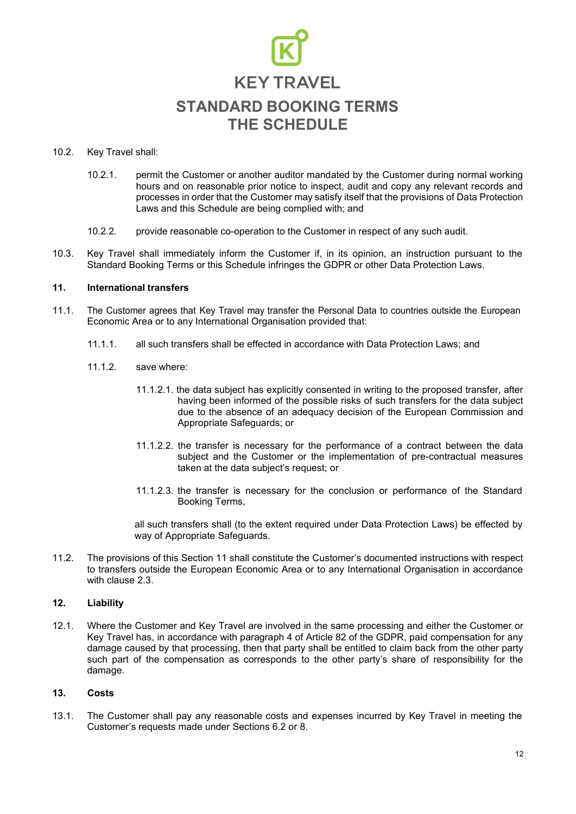#### 10.2. Key Travel shall:

- 10.2.1. permit the Customer or another auditor mandated by the Customer during normal working hours and on reasonable prior notice to inspect, audit and copy any relevant records and processes in order that the Customer may satisfy itself that the provisions of Data Protection Laws and this Schedule are being complied with; and
- 10.2.2. provide reasonable co-operation to the Customer in respect of any such audit.
- 10.3. Key Travel shall immediately inform the Customer if, in its opinion, an instruction pursuant to the Standard Booking Terms or this Schedule infringes the GDPR or other Data Protection Laws.

#### **11. International transfers**

- 11.1. The Customer agrees that Key Travel may transfer the Personal Data to countries outside the European Economic Area or to any International Organisation provided that:
	- 11.1.1. all such transfers shall be effected in accordance with Data Protection Laws; and
	- 11.1.2. save where:
		- 11.1.2.1. the data subject has explicitly consented in writing to the proposed transfer, after having been informed of the possible risks of such transfers for the data subject due to the absence of an adequacy decision of the European Commission and Appropriate Safeguards; or
		- 11.1.2.2. the transfer is necessary for the performance of a contract between the data subject and the Customer or the implementation of pre-contractual measures taken at the data subject's request; or
		- 11.1.2.3. the transfer is necessary for the conclusion or performance of the Standard Booking Terms,

all such transfers shall (to the extent required under Data Protection Laws) be effected by way of Appropriate Safeguards.

11.2. The provisions of this Section 11 shall constitute the Customer's documented instructions with respect to transfers outside the European Economic Area or to any International Organisation in accordance with clause 2.3.

#### **12. Liability**

12.1. Where the Customer and Key Travel are involved in the same processing and either the Customer or Key Travel has, in accordance with paragraph 4 of Article 82 of the GDPR, paid compensation for any damage caused by that processing, then that party shall be entitled to claim back from the other party such part of the compensation as corresponds to the other party's share of responsibility for the damage.

#### **13. Costs**

13.1. The Customer shall pay any reasonable costs and expenses incurred by Key Travel in meeting the Customer's requests made under Sections 6.2 or 8.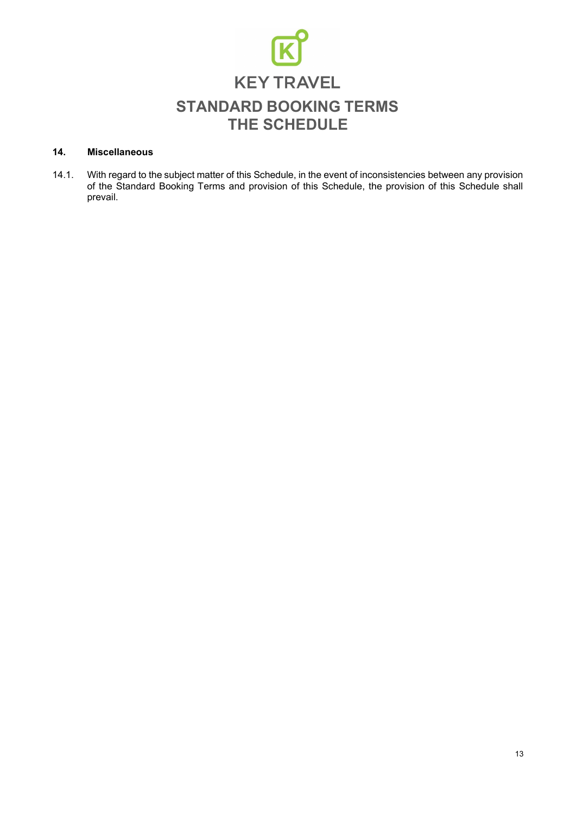

#### **14. Miscellaneous**

14.1. With regard to the subject matter of this Schedule, in the event of inconsistencies between any provision of the Standard Booking Terms and provision of this Schedule, the provision of this Schedule shall prevail.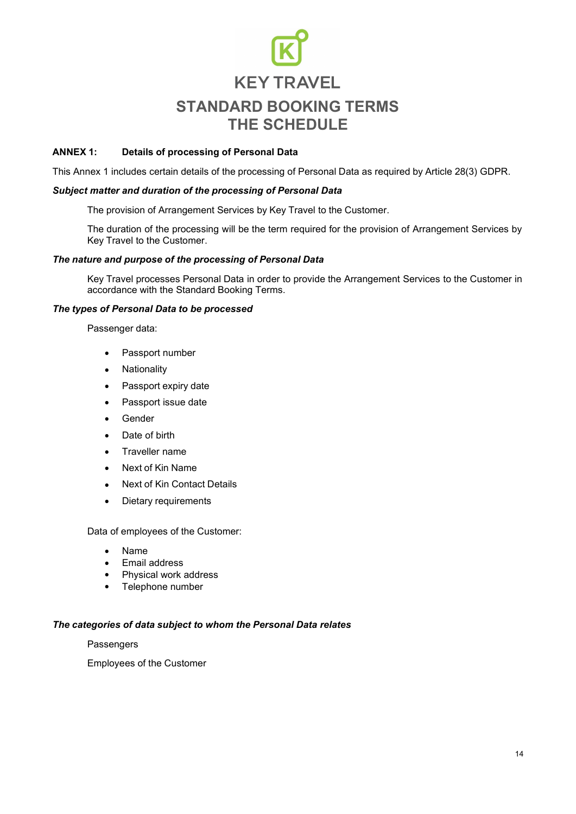#### **ANNEX 1: Details of processing of Personal Data**

This Annex 1 includes certain details of the processing of Personal Data as required by Article 28(3) GDPR.

#### *Subject matter and duration of the processing of Personal Data*

The provision of Arrangement Services by Key Travel to the Customer.

The duration of the processing will be the term required for the provision of Arrangement Services by Key Travel to the Customer.

#### *The nature and purpose of the processing of Personal Data*

Key Travel processes Personal Data in order to provide the Arrangement Services to the Customer in accordance with the Standard Booking Terms.

#### *The types of Personal Data to be processed*

Passenger data:

- Passport number
- Nationality
- Passport expiry date
- Passport issue date
- Gender
- Date of birth
- Traveller name
- Next of Kin Name
- Next of Kin Contact Details
- Dietary requirements

Data of employees of the Customer:

- Name
- Email address
- Physical work address
- Telephone number

#### *The categories of data subject to whom the Personal Data relates*

**Passengers** 

Employees of the Customer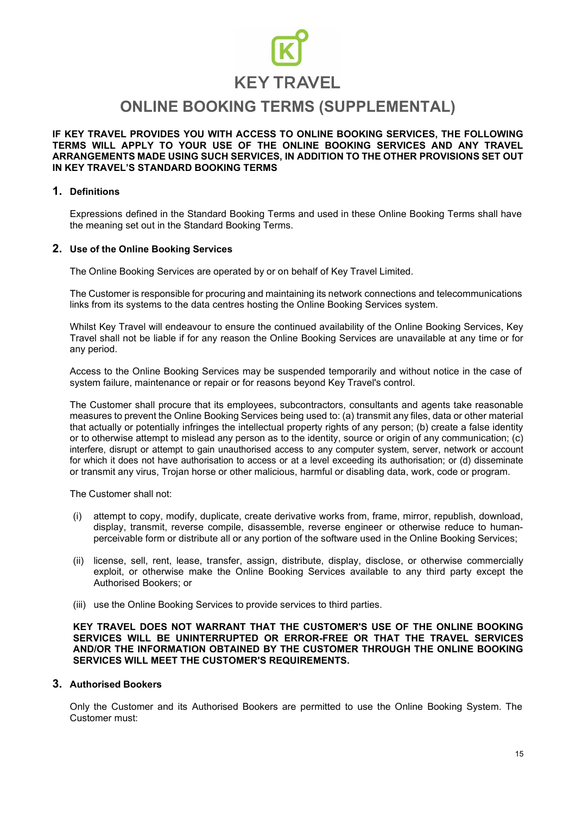### **KEY TRAVEL**

### **ONLINE BOOKING TERMS (SUPPLEMENTAL)**

**IF KEY TRAVEL PROVIDES YOU WITH ACCESS TO ONLINE BOOKING SERVICES, THE FOLLOWING TERMS WILL APPLY TO YOUR USE OF THE ONLINE BOOKING SERVICES AND ANY TRAVEL ARRANGEMENTS MADE USING SUCH SERVICES, IN ADDITION TO THE OTHER PROVISIONS SET OUT IN KEY TRAVEL'S STANDARD BOOKING TERMS**

#### **1. Definitions**

Expressions defined in the Standard Booking Terms and used in these Online Booking Terms shall have the meaning set out in the Standard Booking Terms.

#### **2. Use of the Online Booking Services**

The Online Booking Services are operated by or on behalf of Key Travel Limited.

The Customer is responsible for procuring and maintaining its network connections and telecommunications links from its systems to the data centres hosting the Online Booking Services system.

Whilst Key Travel will endeavour to ensure the continued availability of the Online Booking Services, Key Travel shall not be liable if for any reason the Online Booking Services are unavailable at any time or for any period.

Access to the Online Booking Services may be suspended temporarily and without notice in the case of system failure, maintenance or repair or for reasons beyond Key Travel's control.

The Customer shall procure that its employees, subcontractors, consultants and agents take reasonable measures to prevent the Online Booking Services being used to: (a) transmit any files, data or other material that actually or potentially infringes the intellectual property rights of any person; (b) create a false identity or to otherwise attempt to mislead any person as to the identity, source or origin of any communication; (c) interfere, disrupt or attempt to gain unauthorised access to any computer system, server, network or account for which it does not have authorisation to access or at a level exceeding its authorisation; or (d) disseminate or transmit any virus, Trojan horse or other malicious, harmful or disabling data, work, code or program.

The Customer shall not:

- (i) attempt to copy, modify, duplicate, create derivative works from, frame, mirror, republish, download, display, transmit, reverse compile, disassemble, reverse engineer or otherwise reduce to humanperceivable form or distribute all or any portion of the software used in the Online Booking Services;
- (ii) license, sell, rent, lease, transfer, assign, distribute, display, disclose, or otherwise commercially exploit, or otherwise make the Online Booking Services available to any third party except the Authorised Bookers; or
- (iii) use the Online Booking Services to provide services to third parties.

**KEY TRAVEL DOES NOT WARRANT THAT THE CUSTOMER'S USE OF THE ONLINE BOOKING SERVICES WILL BE UNINTERRUPTED OR ERROR-FREE OR THAT THE TRAVEL SERVICES AND/OR THE INFORMATION OBTAINED BY THE CUSTOMER THROUGH THE ONLINE BOOKING SERVICES WILL MEET THE CUSTOMER'S REQUIREMENTS.**

#### **3. Authorised Bookers**

Only the Customer and its Authorised Bookers are permitted to use the Online Booking System. The Customer must: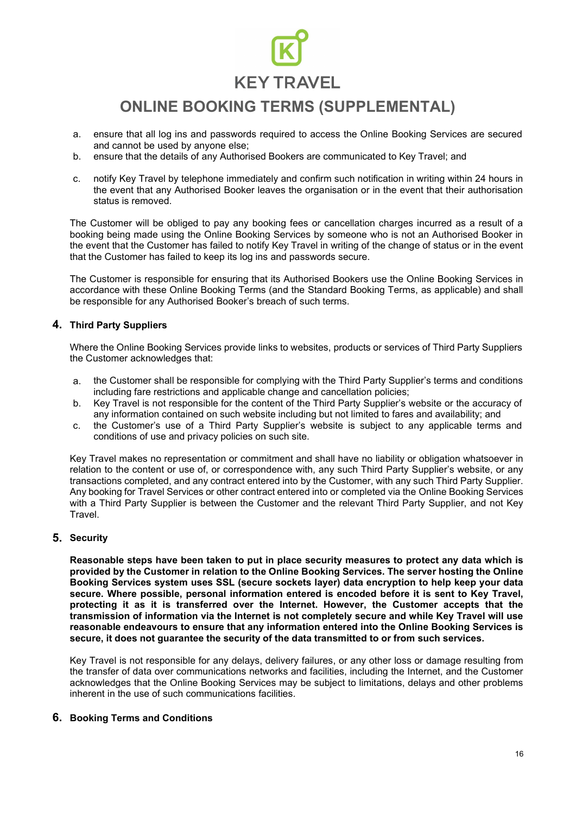## **KEY TRAVEL**

### **ONLINE BOOKING TERMS (SUPPLEMENTAL)**

- ensure that all log ins and passwords required to access the Online Booking Services are secured and cannot be used by anyone else; a.
- ensure that the details of any Authorised Bookers are communicated to Key Travel; and b.
- c. notify Key Travel by telephone immediately and confirm such notification in writing within 24 hours in the event that any Authorised Booker leaves the organisation or in the event that their authorisation status is removed.

The Customer will be obliged to pay any booking fees or cancellation charges incurred as a result of a booking being made using the Online Booking Services by someone who is not an Authorised Booker in the event that the Customer has failed to notify Key Travel in writing of the change of status or in the event that the Customer has failed to keep its log ins and passwords secure.

The Customer is responsible for ensuring that its Authorised Bookers use the Online Booking Services in accordance with these Online Booking Terms (and the Standard Booking Terms, as applicable) and shall be responsible for any Authorised Booker's breach of such terms.

#### **4. Third Party Suppliers**

Where the Online Booking Services provide links to websites, products or services of Third Party Suppliers the Customer acknowledges that:

- a. the Customer shall be responsible for complying with the Third Party Supplier's terms and conditions including fare restrictions and applicable change and cancellation policies;
- Key Travel is not responsible for the content of the Third Party Supplier's website or the accuracy of any information contained on such website including but not limited to fares and availability; and b.
- the Customer's use of a Third Party Supplier's website is subject to any applicable terms and conditions of use and privacy policies on such site. c.

Key Travel makes no representation or commitment and shall have no liability or obligation whatsoever in relation to the content or use of, or correspondence with, any such Third Party Supplier's website, or any transactions completed, and any contract entered into by the Customer, with any such Third Party Supplier. Any booking for Travel Services or other contract entered into or completed via the Online Booking Services with a Third Party Supplier is between the Customer and the relevant Third Party Supplier, and not Key Travel.

#### **5. Security**

**Reasonable steps have been taken to put in place security measures to protect any data which is provided by the Customer in relation to the Online Booking Services. The server hosting the Online Booking Services system uses SSL (secure sockets layer) data encryption to help keep your data secure. Where possible, personal information entered is encoded before it is sent to Key Travel, protecting it as it is transferred over the Internet. However, the Customer accepts that the transmission of information via the Internet is not completely secure and while Key Travel will use reasonable endeavours to ensure that any information entered into the Online Booking Services is secure, it does not guarantee the security of the data transmitted to or from such services.**

Key Travel is not responsible for any delays, delivery failures, or any other loss or damage resulting from the transfer of data over communications networks and facilities, including the Internet, and the Customer acknowledges that the Online Booking Services may be subject to limitations, delays and other problems inherent in the use of such communications facilities.

#### **6. Booking Terms and Conditions**